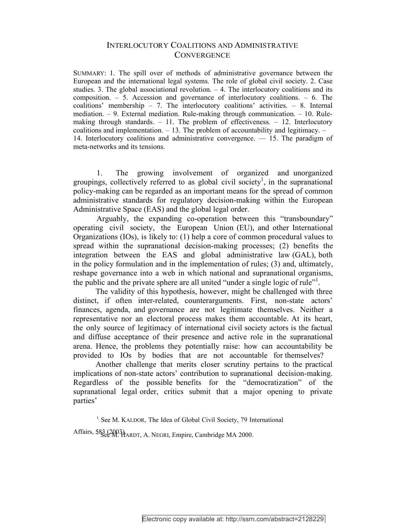## INTERLOCUTORY COALITIONS AND ADMINISTRATIVE **CONVERGENCE**

SUMMARY: 1. The spill over of methods of administrative governance between the European and the international legal systems. The role of global civil society. 2. Case studies. 3. The global associational revolution. – 4. The interlocutory coalitions and its composition. – 5. Accession and governance of interlocutory coalitions. – 6. The coalitions' membership – 7. The interlocutory coalitions' activities. – 8. Internal mediation.  $-9$ . External mediation. Rule-making through communication.  $-10$ . Rulemaking through standards. – 11. The problem of effectiveness. – 12. Interlocutory coalitions and implementation.  $-13$ . The problem of accountability and legitimacy.  $-$ 14. Interlocutory coalitions and administrative convergence. — 15. The paradigm of meta-networks and its tensions.

1. The growing involvement of organized and unorganized groupings, collectively referred to as global civil society<sup>1</sup>, in the supranational policy-making can be regarded as an important means for the spread of common administrative standards for regulatory decision-making within the European Administrative Space (EAS) and the global legal order.

Arguably, the expanding co-operation between this "transboundary" operating civil society, the European Union (EU), and other International Organizations (IOs), is likely to: (1) help a core of common procedural values to spread within the supranational decision-making processes; (2) benefits the integration between the EAS and global administrative law (GAL), both in the policy formulation and in the implementation of rules; (3) and, ultimately, reshape governance into a web in which national and supranational organisms, the public and the private sphere are all united "under a single logic of rule"<sup>1</sup>.

The validity of this hypothesis, however, might be challenged with three distinct, if often inter-related, counterarguments. First, non-state actors' finances, agenda, and governance are not legitimate themselves. Neither a representative nor an electoral process makes them accountable. At its heart, the only source of legitimacy of international civil society actors is the factual and diffuse acceptance of their presence and active role in the supranational arena. Hence, the problems they potentially raise: how can accountability be provided to IOs by bodies that are not accountable for themselves?

Another challenge that merits closer scrutiny pertains to the practical implications of non-state actors' contribution to supranational decision-making. Regardless of the possible benefits for the "democratization" of the supranational legal order, critics submit that a major opening to private parties'

<sup>1</sup> See M. KALDOR, The Idea of Global Civil Society, 79 International Affairs, 583 (2003).<br>Artes M. HARDT, A. NEGRI, Empire, Cambridge MA 2000.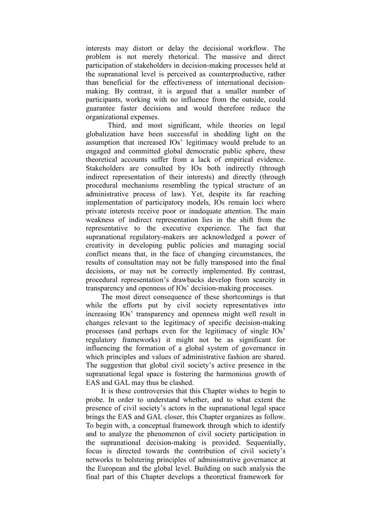interests may distort or delay the decisional workflow. The problem is not merely rhetorical. The massive and direct participation of stakeholders in decision-making processes held at the supranational level is perceived as counterproductive, rather than beneficial for the effectiveness of international decisionmaking. By contrast, it is argued that a smaller number of participants, working with no influence from the outside, could guarantee faster decisions and would therefore reduce the organizational expenses.

Third, and most significant, while theories on legal globalization have been successful in shedding light on the assumption that increased IOs' legitimacy would prelude to an engaged and committed global democratic public sphere, these theoretical accounts suffer from a lack of empirical evidence. Stakeholders are consulted by IOs both indirectly (through indirect representation of their interests) and directly (through procedural mechanisms resembling the typical structure of an administrative process of law). Yet, despite its far reaching implementation of participatory models, IOs remain loci where private interests receive poor or inadequate attention. The main weakness of indirect representation lies in the shift from the representative to the executive experience. The fact that supranational regulatory-makers are acknowledged a power of creativity in developing public policies and managing social conflict means that, in the face of changing circumstances, the results of consultation may not be fully transposed into the final decisions, or may not be correctly implemented. By contrast, procedural representation's drawbacks develop from scarcity in transparency and openness of IOs' decision-making processes.

The most direct consequence of these shortcomings is that while the efforts put by civil society representatives into increasing IOs' transparency and openness might well result in changes relevant to the legitimacy of specific decision-making processes (and perhaps even for the legitimacy of single IOs' regulatory frameworks) it might not be as significant for influencing the formation of a global system of governance in which principles and values of administrative fashion are shared. The suggestion that global civil society's active presence in the supranational legal space is fostering the harmonious growth of EAS and GAL may thus be clashed.

It is these controversies that this Chapter wishes to begin to probe. In order to understand whether, and to what extent the presence of civil society's actors in the supranational legal space brings the EAS and GAL closer, this Chapter organizes as follow. To begin with, a conceptual framework through which to identify and to analyze the phenomenon of civil society participation in the supranational decision-making is provided. Sequentially, focus is directed towards the contribution of civil society's networks to bolstering principles of administrative governance at the European and the global level. Building on such analysis the final part of this Chapter develops a theoretical framework for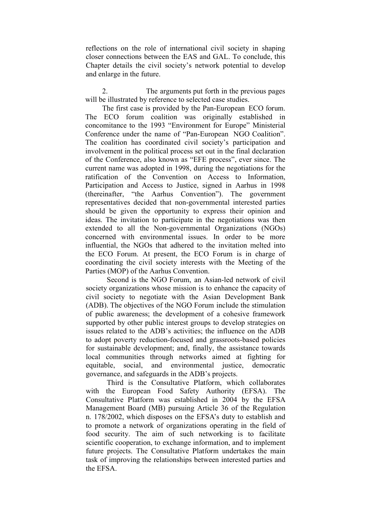reflections on the role of international civil society in shaping closer connections between the EAS and GAL. To conclude, this Chapter details the civil society's network potential to develop and enlarge in the future.

2. The arguments put forth in the previous pages will be illustrated by reference to selected case studies.

The first case is provided by the Pan-European ECO forum. The ECO forum coalition was originally established in concomitance to the 1993 "Environment for Europe" Ministerial Conference under the name of "Pan-European NGO Coalition". The coalition has coordinated civil society's participation and involvement in the political process set out in the final declaration of the Conference, also known as "EFE process", ever since. The current name was adopted in 1998, during the negotiations for the ratification of the Convention on Access to Information, Participation and Access to Justice, signed in Aarhus in 1998 (thereinafter, "the Aarhus Convention"). The government representatives decided that non-governmental interested parties should be given the opportunity to express their opinion and ideas. The invitation to participate in the negotiations was then extended to all the Non-governmental Organizations (NGOs) concerned with environmental issues. In order to be more influential, the NGOs that adhered to the invitation melted into the ECO Forum. At present, the ECO Forum is in charge of coordinating the civil society interests with the Meeting of the Parties (MOP) of the Aarhus Convention.

Second is the NGO Forum, an Asian-led network of civil society organizations whose mission is to enhance the capacity of civil society to negotiate with the Asian Development Bank (ADB). The objectives of the NGO Forum include the stimulation of public awareness; the development of a cohesive framework supported by other public interest groups to develop strategies on issues related to the ADB's activities; the influence on the ADB to adopt poverty reduction-focused and grassroots-based policies for sustainable development; and, finally, the assistance towards local communities through networks aimed at fighting for equitable, social, and environmental justice, democratic governance, and safeguards in the ADB's projects.

Third is the Consultative Platform, which collaborates with the European Food Safety Authority (EFSA). The Consultative Platform was established in 2004 by the EFSA Management Board (MB) pursuing Article 36 of the Regulation n. 178/2002, which disposes on the EFSA's duty to establish and to promote a network of organizations operating in the field of food security. The aim of such networking is to facilitate scientific cooperation, to exchange information, and to implement future projects. The Consultative Platform undertakes the main task of improving the relationships between interested parties and the EFSA.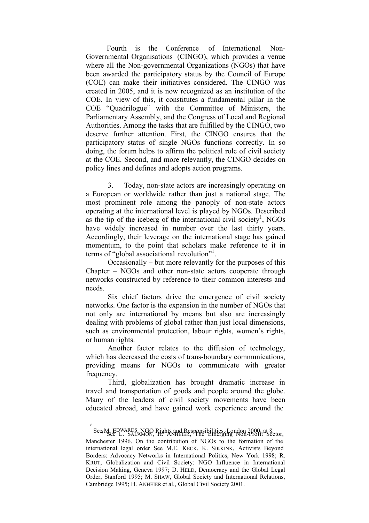Fourth is the Conference of International Non-Governmental Organisations (CINGO), which provides a venue where all the Non-governmental Organizations (NGOs) that have been awarded the participatory status by the Council of Europe (COE) can make their initiatives considered. The CINGO was created in 2005, and it is now recognized as an institution of the COE. In view of this, it constitutes a fundamental pillar in the COE "Quadrilogue" with the Committee of Ministers, the Parliamentary Assembly, and the Congress of Local and Regional Authorities. Among the tasks that are fulfilled by the CINGO, two deserve further attention. First, the CINGO ensures that the participatory status of single NGOs functions correctly. In so doing, the forum helps to affirm the political role of civil society at the COE. Second, and more relevantly, the CINGO decides on policy lines and defines and adopts action programs.

3. Today, non-state actors are increasingly operating on a European or worldwide rather than just a national stage. The most prominent role among the panoply of non-state actors operating at the international level is played by NGOs. Described as the tip of the iceberg of the international civil society<sup>1</sup>, NGOs have widely increased in number over the last thirty years. Accordingly, their leverage on the international stage has gained momentum, to the point that scholars make reference to it in terms of "global associational revolution"<sup>1</sup>.

Occasionally – but more relevantly for the purposes of this Chapter – NGOs and other non-state actors cooperate through networks constructed by reference to their common interests and needs.

Six chief factors drive the emergence of civil society networks. One factor is the expansion in the number of NGOs that not only are international by means but also are increasingly dealing with problems of global rather than just local dimensions, such as environmental protection, labour rights, women's rights, or human rights.

Another factor relates to the diffusion of technology, which has decreased the costs of trans-boundary communications, providing means for NGOs to communicate with greater frequency.

Third, globalization has brought dramatic increase in travel and transportation of goods and people around the globe. Many of the leaders of civil society movements have been educated abroad, and have gained work experience around the

3

See M. EDWARDS, NGO Rights and Responsibilities. London 2000, at 8.<br>See L. SALAMON, H. ANHEIER, The Emerging Non-Profit Sector, Manchester 1996. On the contribution of NGOs to the formation of the international legal order See M.E. KECK, K. SIKKINK, Activists Beyond Borders: Advocacy Networks in International Politics, New York 1998; R. KRUT, Globalization and Civil Society: NGO Influence in International Decision Making, Geneva 1997; D. HELD, Democracy and the Global Legal Order, Stanford 1995; M. SHAW, Global Society and International Relations, Cambridge 1995; H. ANHEIER et al., Global Civil Society 2001.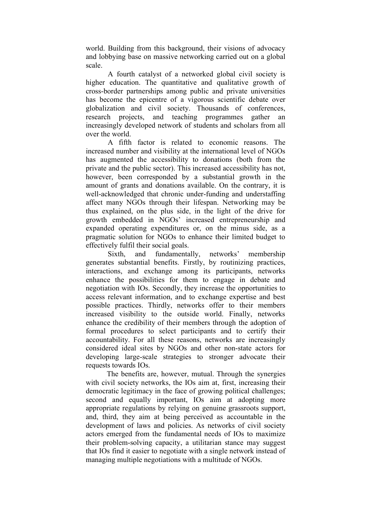world. Building from this background, their visions of advocacy and lobbying base on massive networking carried out on a global scale.

A fourth catalyst of a networked global civil society is higher education. The quantitative and qualitative growth of cross-border partnerships among public and private universities has become the epicentre of a vigorous scientific debate over globalization and civil society. Thousands of conferences, research projects, and teaching programmes gather an increasingly developed network of students and scholars from all over the world.

A fifth factor is related to economic reasons. The increased number and visibility at the international level of NGOs has augmented the accessibility to donations (both from the private and the public sector). This increased accessibility has not, however, been corresponded by a substantial growth in the amount of grants and donations available. On the contrary, it is well-acknowledged that chronic under-funding and understaffing affect many NGOs through their lifespan. Networking may be thus explained, on the plus side, in the light of the drive for growth embedded in NGOs' increased entrepreneurship and expanded operating expenditures or, on the minus side, as a pragmatic solution for NGOs to enhance their limited budget to effectively fulfil their social goals.

Sixth, and fundamentally, networks' membership generates substantial benefits. Firstly, by routinizing practices, interactions, and exchange among its participants, networks enhance the possibilities for them to engage in debate and negotiation with IOs. Secondly, they increase the opportunities to access relevant information, and to exchange expertise and best possible practices. Thirdly, networks offer to their members increased visibility to the outside world. Finally, networks enhance the credibility of their members through the adoption of formal procedures to select participants and to certify their accountability. For all these reasons, networks are increasingly considered ideal sites by NGOs and other non-state actors for developing large-scale strategies to stronger advocate their requests towards IOs.

The benefits are, however, mutual. Through the synergies with civil society networks, the IOs aim at, first, increasing their democratic legitimacy in the face of growing political challenges; second and equally important, IOs aim at adopting more appropriate regulations by relying on genuine grassroots support, and, third, they aim at being perceived as accountable in the development of laws and policies. As networks of civil society actors emerged from the fundamental needs of IOs to maximize their problem-solving capacity, a utilitarian stance may suggest that IOs find it easier to negotiate with a single network instead of managing multiple negotiations with a multitude of NGOs.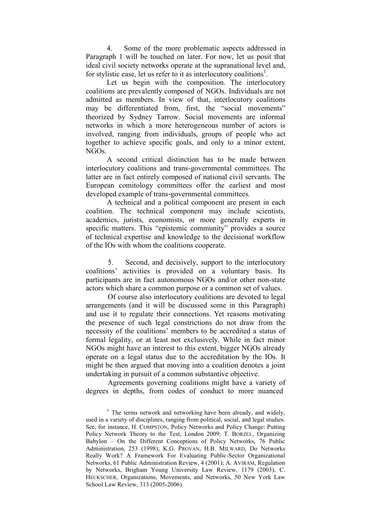4. Some of the more problematic aspects addressed in Paragraph 1 will be touched on later. For now, let us posit that ideal civil society networks operate at the supranational level and, for stylistic ease, let us refer to it as interlocutory coalitions<sup>1</sup>.

Let us begin with the composition. The interlocutory coalitions are prevalently composed of NGOs. Individuals are not admitted as members. In view of that, interlocutory coalitions may be differentiated from, first, the "social movements" theorized by Sydney Tarrow. Social movements are informal networks in which a more heterogeneous number of actors is involved, ranging from individuals, groups of people who act together to achieve specific goals, and only to a minor extent, NGOs.

A second critical distinction has to be made between interlocutory coalitions and trans-governmental committees. The latter are in fact entirely composed of national civil servants. The European comitology committees offer the earliest and most developed example of trans-governmental committees.

A technical and a political component are present in each coalition. The technical component may include scientists, academics, jurists, economists, or more generally experts in specific matters. This "epistemic community" provides a source of technical expertise and knowledge to the decisional workflow of the IOs with whom the coalitions cooperate.

5. Second, and decisively, support to the interlocutory coalitions' activities is provided on a voluntary basis. Its participants are in fact autonomous NGOs and/or other non-state actors which share a common purpose or a common set of values.

Of course also interlocutory coalitions are devoted to legal arrangements (and it will be discussed some in this Paragraph) and use it to regulate their connections. Yet reasons motivating the presence of such legal constrictions do not draw from the necessity of the coalitions' members to be accredited a status of formal legality, or at least not exclusively. While in fact minor NGOs might have an interest to this extent, bigger NGOs already operate on a legal status due to the accreditation by the IOs. It might be then argued that moving into a coalition denotes a joint undertaking in pursuit of a common substantive objective.

Agreements governing coalitions might have a variety of degrees in depths, from codes of conduct to more nuanced

 $5$  The terms network and networking have been already, and widely, used in a variety of disciplines, ranging from political, social, and legal studies. See, for instance, H. COMPSTON, Policy Networks and Policy Change: Putting Policy Network Theory to the Test, London 2009; T. BORZEL, Organizing Babylon – On the Different Conceptions of Policy Networks, 76 Public Administration, 253 (1998); K.G. PROVAN, H.B. MILWARD, Do Networks Really Work? A Framework For Evaluating Public-Sector Organizational Networks, 61 Public Administration Review, 4 (2001); A. AVIRAM, Regulation by Networks, Brigham Young University Law Review, 1179 (2003); C. HECKSCHER, Organizations, Movements, and Networks, 50 New York Law School Law Review, 313 (2005-2006).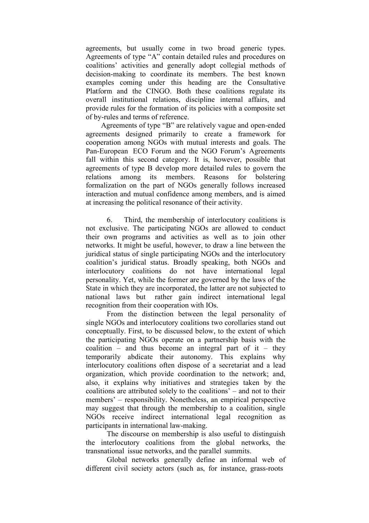agreements, but usually come in two broad generic types. Agreements of type "A" contain detailed rules and procedures on coalitions' activities and generally adopt collegial methods of decision-making to coordinate its members. The best known examples coming under this heading are the Consultative Platform and the CINGO. Both these coalitions regulate its overall institutional relations, discipline internal affairs, and provide rules for the formation of its policies with a composite set of by-rules and terms of reference.

Agreements of type "B" are relatively vague and open-ended agreements designed primarily to create a framework for cooperation among NGOs with mutual interests and goals. The Pan-European ECO Forum and the NGO Forum's Agreements fall within this second category. It is, however, possible that agreements of type B develop more detailed rules to govern the relations among its members. Reasons for bolstering formalization on the part of NGOs generally follows increased interaction and mutual confidence among members, and is aimed at increasing the political resonance of their activity.

6. Third, the membership of interlocutory coalitions is not exclusive. The participating NGOs are allowed to conduct their own programs and activities as well as to join other networks. It might be useful, however, to draw a line between the juridical status of single participating NGOs and the interlocutory coalition's juridical status. Broadly speaking, both NGOs and interlocutory coalitions do not have international legal personality. Yet, while the former are governed by the laws of the State in which they are incorporated, the latter are not subjected to national laws but rather gain indirect international legal recognition from their cooperation with IOs.

From the distinction between the legal personality of single NGOs and interlocutory coalitions two corollaries stand out conceptually. First, to be discussed below, to the extent of which the participating NGOs operate on a partnership basis with the coalition – and thus become an integral part of it – they temporarily abdicate their autonomy. This explains why interlocutory coalitions often dispose of a secretariat and a lead organization, which provide coordination to the network; and, also, it explains why initiatives and strategies taken by the coalitions are attributed solely to the coalitions' – and not to their members' – responsibility. Nonetheless, an empirical perspective may suggest that through the membership to a coalition, single NGOs receive indirect international legal recognition as participants in international law-making.

The discourse on membership is also useful to distinguish the interlocutory coalitions from the global networks, the transnational issue networks, and the parallel summits.

Global networks generally define an informal web of different civil society actors (such as, for instance, grass-roots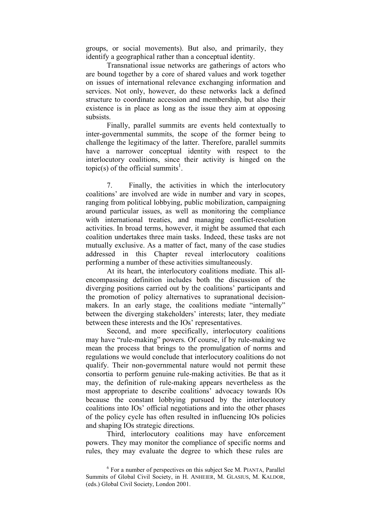groups, or social movements). But also, and primarily, they identify a geographical rather than a conceptual identity.

Transnational issue networks are gatherings of actors who are bound together by a core of shared values and work together on issues of international relevance exchanging information and services. Not only, however, do these networks lack a defined structure to coordinate accession and membership, but also their existence is in place as long as the issue they aim at opposing subsists.

Finally, parallel summits are events held contextually to inter-governmental summits, the scope of the former being to challenge the legitimacy of the latter. Therefore, parallel summits have a narrower conceptual identity with respect to the interlocutory coalitions, since their activity is hinged on the topic(s) of the official summits<sup>1</sup>.

7. Finally, the activities in which the interlocutory coalitions' are involved are wide in number and vary in scopes, ranging from political lobbying, public mobilization, campaigning around particular issues, as well as monitoring the compliance with international treaties, and managing conflict-resolution activities. In broad terms, however, it might be assumed that each coalition undertakes three main tasks. Indeed, these tasks are not mutually exclusive. As a matter of fact, many of the case studies addressed in this Chapter reveal interlocutory coalitions performing a number of these activities simultaneously.

At its heart, the interlocutory coalitions mediate. This allencompassing definition includes both the discussion of the diverging positions carried out by the coalitions' participants and the promotion of policy alternatives to supranational decisionmakers. In an early stage, the coalitions mediate "internally" between the diverging stakeholders' interests; later, they mediate between these interests and the IOs' representatives.

Second, and more specifically, interlocutory coalitions may have "rule-making" powers. Of course, if by rule-making we mean the process that brings to the promulgation of norms and regulations we would conclude that interlocutory coalitions do not qualify. Their non-governmental nature would not permit these consortia to perform genuine rule-making activities. Be that as it may, the definition of rule-making appears nevertheless as the most appropriate to describe coalitions' advocacy towards IOs because the constant lobbying pursued by the interlocutory coalitions into IOs' official negotiations and into the other phases of the policy cycle has often resulted in influencing IOs policies and shaping IOs strategic directions.

Third, interlocutory coalitions may have enforcement powers. They may monitor the compliance of specific norms and rules, they may evaluate the degree to which these rules are

<sup>&</sup>lt;sup>6</sup> For a number of perspectives on this subject See M. PIANTA, Parallel Summits of Global Civil Society, in H. ANHEIER, M. GLASIUS, M. KALDOR, (eds.) Global Civil Society, London 2001.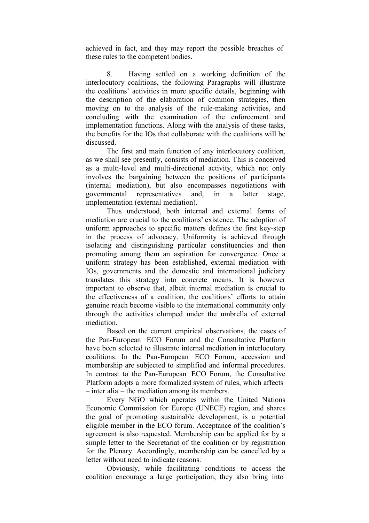achieved in fact, and they may report the possible breaches of these rules to the competent bodies.

8. Having settled on a working definition of the interlocutory coalitions, the following Paragraphs will illustrate the coalitions' activities in more specific details, beginning with the description of the elaboration of common strategies, then moving on to the analysis of the rule-making activities, and concluding with the examination of the enforcement and implementation functions. Along with the analysis of these tasks, the benefits for the IOs that collaborate with the coalitions will be discussed.

The first and main function of any interlocutory coalition, as we shall see presently, consists of mediation. This is conceived as a multi-level and multi-directional activity, which not only involves the bargaining between the positions of participants (internal mediation), but also encompasses negotiations with governmental representatives and, in a latter stage, implementation (external mediation).

Thus understood, both internal and external forms of mediation are crucial to the coalitions' existence. The adoption of uniform approaches to specific matters defines the first key-step in the process of advocacy. Uniformity is achieved through isolating and distinguishing particular constituencies and then promoting among them an aspiration for convergence. Once a uniform strategy has been established, external mediation with IOs, governments and the domestic and international judiciary translates this strategy into concrete means. It is however important to observe that, albeit internal mediation is crucial to the effectiveness of a coalition, the coalitions' efforts to attain genuine reach become visible to the international community only through the activities clumped under the umbrella of external mediation.

Based on the current empirical observations, the cases of the Pan-European ECO Forum and the Consultative Platform have been selected to illustrate internal mediation in interlocutory coalitions. In the Pan-European ECO Forum, accession and membership are subjected to simplified and informal procedures. In contrast to the Pan-European ECO Forum, the Consultative Platform adopts a more formalized system of rules, which affects – inter alia – the mediation among its members.

Every NGO which operates within the United Nations Economic Commission for Europe (UNECE) region, and shares the goal of promoting sustainable development, is a potential eligible member in the ECO forum. Acceptance of the coalition's agreement is also requested. Membership can be applied for by a simple letter to the Secretariat of the coalition or by registration for the Plenary. Accordingly, membership can be cancelled by a letter without need to indicate reasons.

Obviously, while facilitating conditions to access the coalition encourage a large participation, they also bring into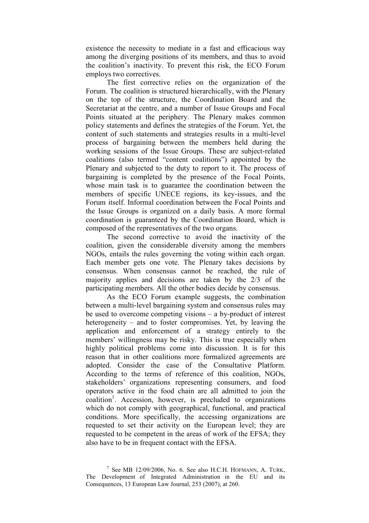existence the necessity to mediate in a fast and efficacious way among the diverging positions of its members, and thus to avoid the coalition's inactivity. To prevent this risk, the ECO Forum employs two correctives.

The first corrective relies on the organization of the Forum. The coalition is structured hierarchically, with the Plenary on the top of the structure, the Coordination Board and the Secretariat at the centre, and a number of Issue Groups and Focal Points situated at the periphery. The Plenary makes common policy statements and defines the strategies of the Forum. Yet, the content of such statements and strategies results in a multi-level process of bargaining between the members held during the working sessions of the Issue Groups. These are subject-related coalitions (also termed "content coalitions") appointed by the Plenary and subjected to the duty to report to it. The process of bargaining is completed by the presence of the Focal Points, whose main task is to guarantee the coordination between the members of specific UNECE regions, its key-issues, and the Forum itself. Informal coordination between the Focal Points and the Issue Groups is organized on a daily basis. A more formal coordination is guaranteed by the Coordination Board, which is composed of the representatives of the two organs.

The second corrective to avoid the inactivity of the coalition, given the considerable diversity among the members NGOs, entails the rules governing the voting within each organ. Each member gets one vote. The Plenary takes decisions by consensus. When consensus cannot be reached, the rule of majority applies and decisions are taken by the 2/3 of the participating members. All the other bodies decide by consensus.

As the ECO Forum example suggests, the combination between a multi-level bargaining system and consensus rules may be used to overcome competing visions – a by-product of interest heterogeneity – and to foster compromises. Yet, by leaving the application and enforcement of a strategy entirely to the members' willingness may be risky. This is true especially when highly political problems come into discussion. It is for this reason that in other coalitions more formalized agreements are adopted. Consider the case of the Consultative Platform. According to the terms of reference of this coalition, NGOs, stakeholders' organizations representing consumers, and food operators active in the food chain are all admitted to join the coalition<sup>1</sup>. Accession, however, is precluded to organizations which do not comply with geographical, functional, and practical conditions. More specifically, the accessing organizations are requested to set their activity on the European level; they are requested to be competent in the areas of work of the EFSA; they also have to be in frequent contact with the EFSA.

 $7$  See MB 12/09/2006, No. 6. See also H.C.H. HOFMANN, A. TURK, The Development of Integrated Administration in the EU and its Consequences, 13 European Law Journal, 253 (2007), at 260.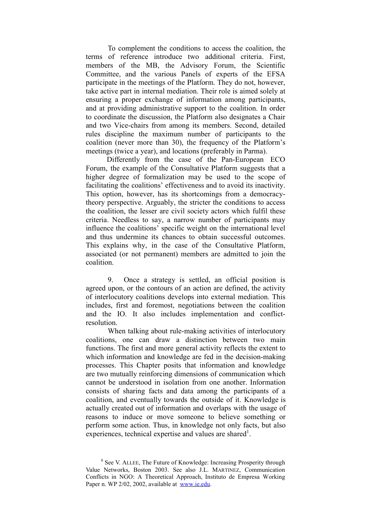To complement the conditions to access the coalition, the terms of reference introduce two additional criteria. First, members of the MB, the Advisory Forum, the Scientific Committee, and the various Panels of experts of the EFSA participate in the meetings of the Platform. They do not, however, take active part in internal mediation. Their role is aimed solely at ensuring a proper exchange of information among participants, and at providing administrative support to the coalition. In order to coordinate the discussion, the Platform also designates a Chair and two Vice-chairs from among its members. Second, detailed rules discipline the maximum number of participants to the coalition (never more than 30), the frequency of the Platform's meetings (twice a year), and locations (preferably in Parma).

Differently from the case of the Pan-European ECO Forum, the example of the Consultative Platform suggests that a higher degree of formalization may be used to the scope of facilitating the coalitions' effectiveness and to avoid its inactivity. This option, however, has its shortcomings from a democracytheory perspective. Arguably, the stricter the conditions to access the coalition, the lesser are civil society actors which fulfil these criteria. Needless to say, a narrow number of participants may influence the coalitions' specific weight on the international level and thus undermine its chances to obtain successful outcomes. This explains why, in the case of the Consultative Platform, associated (or not permanent) members are admitted to join the coalition.

9. Once a strategy is settled, an official position is agreed upon, or the contours of an action are defined, the activity of interlocutory coalitions develops into external mediation. This includes, first and foremost, negotiations between the coalition and the IO. It also includes implementation and conflictresolution.

When talking about rule-making activities of interlocutory coalitions, one can draw a distinction between two main functions. The first and more general activity reflects the extent to which information and knowledge are fed in the decision-making processes. This Chapter posits that information and knowledge are two mutually reinforcing dimensions of communication which cannot be understood in isolation from one another. Information consists of sharing facts and data among the participants of a coalition, and eventually towards the outside of it. Knowledge is actually created out of information and overlaps with the usage of reasons to induce or move someone to believe something or perform some action. Thus, in knowledge not only facts, but also experiences, technical expertise and values are shared<sup>1</sup>.

<sup>&</sup>lt;sup>8</sup> See V. ALLEE, The Future of Knowledge: Increasing Prosperity through Value Networks, Boston 2003. See also J.L. MARTINEZ, Communication Conflicts in NGO: A Theoretical Approach, Instituto de Empresa Working Paper n. WP 2/02, 2002, available at www.ie.edu.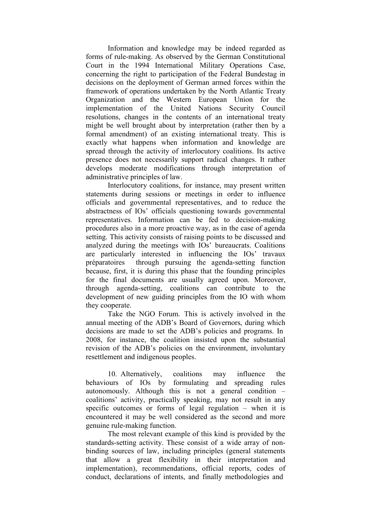Information and knowledge may be indeed regarded as forms of rule-making. As observed by the German Constitutional Court in the 1994 International Military Operations Case, concerning the right to participation of the Federal Bundestag in decisions on the deployment of German armed forces within the framework of operations undertaken by the North Atlantic Treaty Organization and the Western European Union for the implementation of the United Nations Security Council resolutions, changes in the contents of an international treaty might be well brought about by interpretation (rather then by a formal amendment) of an existing international treaty. This is exactly what happens when information and knowledge are spread through the activity of interlocutory coalitions. Its active presence does not necessarily support radical changes. It rather develops moderate modifications through interpretation of administrative principles of law.

Interlocutory coalitions, for instance, may present written statements during sessions or meetings in order to influence officials and governmental representatives, and to reduce the abstractness of IOs' officials questioning towards governmental representatives. Information can be fed to decision-making procedures also in a more proactive way, as in the case of agenda setting. This activity consists of raising points to be discussed and analyzed during the meetings with IOs' bureaucrats. Coalitions are particularly interested in influencing the IOs' travaux préparatoires through pursuing the agenda-setting function because, first, it is during this phase that the founding principles for the final documents are usually agreed upon. Moreover, through agenda-setting, coalitions can contribute to the development of new guiding principles from the IO with whom they cooperate.

Take the NGO Forum. This is actively involved in the annual meeting of the ADB's Board of Governors, during which decisions are made to set the ADB's policies and programs. In 2008, for instance, the coalition insisted upon the substantial revision of the ADB's policies on the environment, involuntary resettlement and indigenous peoples.

10. Alternatively, coalitions may influence the behaviours of IOs by formulating and spreading rules autonomously. Although this is not a general condition – coalitions' activity, practically speaking, may not result in any specific outcomes or forms of legal regulation – when it is encountered it may be well considered as the second and more genuine rule-making function.

The most relevant example of this kind is provided by the standards-setting activity. These consist of a wide array of nonbinding sources of law, including principles (general statements that allow a great flexibility in their interpretation and implementation), recommendations, official reports, codes of conduct, declarations of intents, and finally methodologies and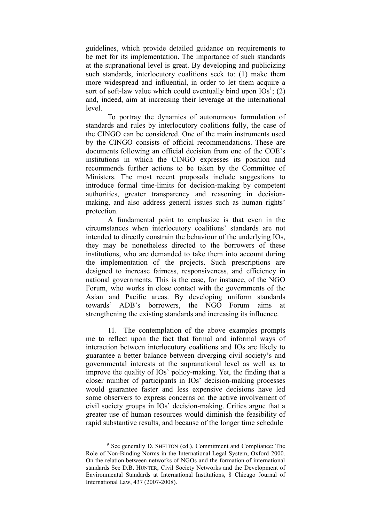guidelines, which provide detailed guidance on requirements to be met for its implementation. The importance of such standards at the supranational level is great. By developing and publicizing such standards, interlocutory coalitions seek to: (1) make them more widespread and influential, in order to let them acquire a sort of soft-law value which could eventually bind upon  $\mathrm{IOs}^1$ ; (2) and, indeed, aim at increasing their leverage at the international level.

To portray the dynamics of autonomous formulation of standards and rules by interlocutory coalitions fully, the case of the CINGO can be considered. One of the main instruments used by the CINGO consists of official recommendations. These are documents following an official decision from one of the COE's institutions in which the CINGO expresses its position and recommends further actions to be taken by the Committee of Ministers. The most recent proposals include suggestions to introduce formal time-limits for decision-making by competent authorities, greater transparency and reasoning in decisionmaking, and also address general issues such as human rights' protection.

A fundamental point to emphasize is that even in the circumstances when interlocutory coalitions' standards are not intended to directly constrain the behaviour of the underlying IOs, they may be nonetheless directed to the borrowers of these institutions, who are demanded to take them into account during the implementation of the projects. Such prescriptions are designed to increase fairness, responsiveness, and efficiency in national governments. This is the case, for instance, of the NGO Forum, who works in close contact with the governments of the Asian and Pacific areas. By developing uniform standards towards' ADB's borrowers, the NGO Forum aims at strengthening the existing standards and increasing its influence.

11. The contemplation of the above examples prompts me to reflect upon the fact that formal and informal ways of interaction between interlocutory coalitions and IOs are likely to guarantee a better balance between diverging civil society's and governmental interests at the supranational level as well as to improve the quality of IOs' policy-making. Yet, the finding that a closer number of participants in IOs' decision-making processes would guarantee faster and less expensive decisions have led some observers to express concerns on the active involvement of civil society groups in IOs' decision-making. Critics argue that a greater use of human resources would diminish the feasibility of rapid substantive results, and because of the longer time schedule

<sup>&</sup>lt;sup>9</sup> See generally D. SHELTON (ed.), Commitment and Compliance: The Role of Non-Binding Norms in the International Legal System, Oxford 2000. On the relation between networks of NGOs and the formation of international standards See D.B. HUNTER, Civil Society Networks and the Development of Environmental Standards at International Institutions, 8 Chicago Journal of International Law, 437 (2007-2008).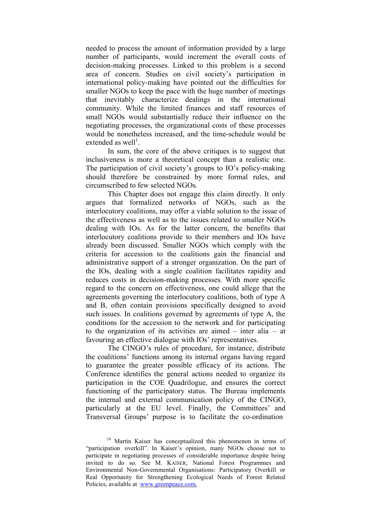needed to process the amount of information provided by a large number of participants, would increment the overall costs of decision-making processes. Linked to this problem is a second area of concern. Studies on civil society's participation in international policy-making have pointed out the difficulties for smaller NGOs to keep the pace with the huge number of meetings that inevitably characterize dealings in the international community. While the limited finances and staff resources of small NGOs would substantially reduce their influence on the negotiating processes, the organizational costs of these processes would be nonetheless increased, and the time-schedule would be extended as well<sup>1</sup>.

In sum, the core of the above critiques is to suggest that inclusiveness is more a theoretical concept than a realistic one. The participation of civil society's groups to IO's policy-making should therefore be constrained by more formal rules, and circumscribed to few selected NGOs.

This Chapter does not engage this claim directly. It only argues that formalized networks of NGOs, such as the interlocutory coalitions, may offer a viable solution to the issue of the effectiveness as well as to the issues related to smaller NGOs dealing with IOs. As for the latter concern, the benefits that interlocutory coalitions provide to their members and IOs have already been discussed. Smaller NGOs which comply with the criteria for accession to the coalitions gain the financial and administrative support of a stronger organization. On the part of the IOs, dealing with a single coalition facilitates rapidity and reduces costs in decision-making processes. With more specific regard to the concern on effectiveness, one could allege that the agreements governing the interlocutory coalitions, both of type A and B, often contain provisions specifically designed to avoid such issues. In coalitions governed by agreements of type A, the conditions for the accession to the network and for participating to the organization of its activities are aimed – inter alia – at favouring an effective dialogue with IOs' representatives.

The CINGO's rules of procedure, for instance, distribute the coalitions' functions among its internal organs having regard to guarantee the greater possible efficacy of its actions. The Conference identifies the general actions needed to organize its participation in the COE Quadrilogue, and ensures the correct functioning of the participatory status. The Bureau implements the internal and external communication policy of the CINGO, particularly at the EU level. Finally, the Committees' and Transversal Groups' purpose is to facilitate the co-ordination

<sup>10</sup> Martin Kaiser has conceptualized this phenomenon in terms of "participation overkill". In Kaiser's opinion, many NGOs choose not to participate in negotiating processes of considerable importance despite being invited to do so. See M. KAISER, National Forest Programmes and Environmental Non-Governmental Organisations: Participatory Overkill or Real Opportunity for Strengthening Ecological Needs of Forest Related Policies, available at www.greenpeace.com.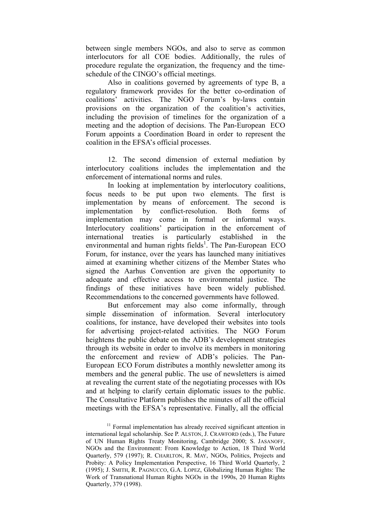between single members NGOs, and also to serve as common interlocutors for all COE bodies. Additionally, the rules of procedure regulate the organization, the frequency and the timeschedule of the CINGO's official meetings.

Also in coalitions governed by agreements of type B, a regulatory framework provides for the better co-ordination of coalitions' activities. The NGO Forum's by-laws contain provisions on the organization of the coalition's activities, including the provision of timelines for the organization of a meeting and the adoption of decisions. The Pan-European ECO Forum appoints a Coordination Board in order to represent the coalition in the EFSA's official processes.

12. The second dimension of external mediation by interlocutory coalitions includes the implementation and the enforcement of international norms and rules.

In looking at implementation by interlocutory coalitions, focus needs to be put upon two elements. The first is implementation by means of enforcement. The second is implementation by conflict-resolution. Both forms of implementation may come in formal or informal ways. Interlocutory coalitions' participation in the enforcement of international treaties is particularly established in the environmental and human rights fields<sup>1</sup>. The Pan-European ECO Forum, for instance, over the years has launched many initiatives aimed at examining whether citizens of the Member States who signed the Aarhus Convention are given the opportunity to adequate and effective access to environmental justice. The findings of these initiatives have been widely published. Recommendations to the concerned governments have followed.

But enforcement may also come informally, through simple dissemination of information. Several interlocutory coalitions, for instance, have developed their websites into tools for advertising project-related activities. The NGO Forum heightens the public debate on the ADB's development strategies through its website in order to involve its members in monitoring the enforcement and review of ADB's policies. The Pan-European ECO Forum distributes a monthly newsletter among its members and the general public. The use of newsletters is aimed at revealing the current state of the negotiating processes with IOs and at helping to clarify certain diplomatic issues to the public. The Consultative Platform publishes the minutes of all the official meetings with the EFSA's representative. Finally, all the official

 $11$  Formal implementation has already received significant attention in international legal scholarship. See P. ALSTON, J. CRAWFORD (eds.), The Future of UN Human Rights Treaty Monitoring, Cambridge 2000; S. JASANOFF, NGOs and the Environment: From Knowledge to Action, 18 Third World Quarterly, 579 (1997); R. CHARLTON, R. MAY, NGOs, Politics, Projects and Probity: A Policy Implementation Perspective, 16 Third World Quarterly, 2 (1995); J. SMITH, R. PAGNUCCO, G.A. LOPEZ, Globalizing Human Rights: The Work of Transnational Human Rights NGOs in the 1990s, 20 Human Rights Quarterly, 379 (1998).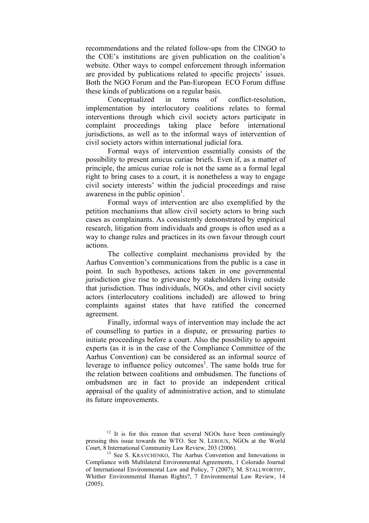recommendations and the related follow-ups from the CINGO to the COE's institutions are given publication on the coalition's website. Other ways to compel enforcement through information are provided by publications related to specific projects' issues. Both the NGO Forum and the Pan-European ECO Forum diffuse these kinds of publications on a regular basis.

Conceptualized in terms of conflict-resolution, implementation by interlocutory coalitions relates to formal interventions through which civil society actors participate in complaint proceedings taking place before international jurisdictions, as well as to the informal ways of intervention of civil society actors within international judicial fora.

Formal ways of intervention essentially consists of the possibility to present amicus curiae briefs. Even if, as a matter of principle, the amicus curiae role is not the same as a formal legal right to bring cases to a court, it is nonetheless a way to engage civil society interests' within the judicial proceedings and raise awareness in the public opinion $<sup>1</sup>$ .</sup>

Formal ways of intervention are also exemplified by the petition mechanisms that allow civil society actors to bring such cases as complainants. As consistently demonstrated by empirical research, litigation from individuals and groups is often used as a way to change rules and practices in its own favour through court actions.

The collective complaint mechanisms provided by the Aarhus Convention's communications from the public is a case in point. In such hypotheses, actions taken in one governmental jurisdiction give rise to grievance by stakeholders living outside that jurisdiction. Thus individuals, NGOs, and other civil society actors (interlocutory coalitions included) are allowed to bring complaints against states that have ratified the concerned agreement.

Finally, informal ways of intervention may include the act of counselling to parties in a dispute, or pressuring parties to initiate proceedings before a court. Also the possibility to appoint experts (as it is in the case of the Compliance Committee of the Aarhus Convention) can be considered as an informal source of leverage to influence policy outcomes<sup>1</sup>. The same holds true for the relation between coalitions and ombudsmen. The functions of ombudsmen are in fact to provide an independent critical appraisal of the quality of administrative action, and to stimulate its future improvements.

 $12$  It is for this reason that several NGOs have been continuingly pressing this issue towards the WTO. See N. LEROUX, NGOs at the World Court, 8 International Community Law Review, 203 (2006).

<sup>&</sup>lt;sup>13</sup> See S. KRAVCHENKO, The Aarhus Convention and Innovations in Compliance with Multilateral Environmental Agreements, 1 Colorado Journal of International Environmental Law and Policy, 7 (2007); M. STALLWORTHY, Whither Environmental Human Rights?, 7 Environmental Law Review, 14 (2005).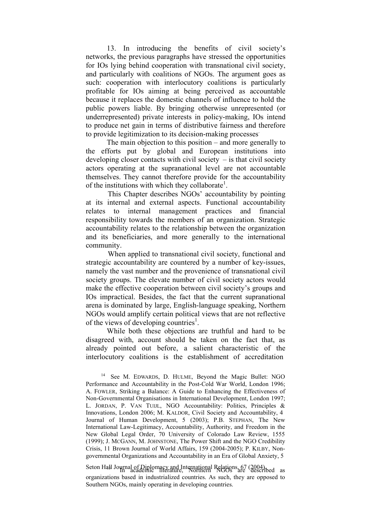13. In introducing the benefits of civil society's networks, the previous paragraphs have stressed the opportunities for IOs lying behind cooperation with transnational civil society, and particularly with coalitions of NGOs. The argument goes as such: cooperation with interlocutory coalitions is particularly profitable for IOs aiming at being perceived as accountable because it replaces the domestic channels of influence to hold the public powers liable. By bringing otherwise unrepresented (or underrepresented) private interests in policy-making, IOs intend to produce net gain in terms of distributive fairness and therefore to provide legitimization to its decision-making processes.

The main objection to this position – and more generally to the efforts put by global and European institutions into developing closer contacts with civil society  $-$  is that civil society actors operating at the supranational level are not accountable themselves. They cannot therefore provide for the accountability of the institutions with which they collaborate<sup>1</sup>.

This Chapter describes NGOs' accountability by pointing at its internal and external aspects. Functional accountability relates to internal management practices and financial responsibility towards the members of an organization. Strategic accountability relates to the relationship between the organization and its beneficiaries, and more generally to the international community.

When applied to transnational civil society, functional and strategic accountability are countered by a number of key-issues, namely the vast number and the provenience of transnational civil society groups. The elevate number of civil society actors would make the effective cooperation between civil society's groups and IOs impractical. Besides, the fact that the current supranational arena is dominated by large, English-language speaking, Northern NGOs would amplify certain political views that are not reflective of the views of developing countries<sup>1</sup>.

While both these objections are truthful and hard to be disagreed with, account should be taken on the fact that, as already pointed out before, a salient characteristic of the interlocutory coalitions is the establishment of accreditation

Seton Hall Journal of Diplomacy and International Relations, 67 (2004).<br>In academic literature, Northern NGOs are described as organizations based in industrialized countries. As such, they are opposed to Southern NGOs, mainly operating in developing countries.

<sup>&</sup>lt;sup>14</sup> See M. EDWARDS, D. HULME, Beyond the Magic Bullet: NGO Performance and Accountability in the Post-Cold War World, London 1996; A. FOWLER, Striking a Balance: A Guide to Enhancing the Effectiveness of Non-Governmental Organisations in International Development, London 1997; L. JORDAN, P. VAN TUIJL, NGO Accountability: Politics, Principles & Innovations, London 2006; M. KALDOR, Civil Society and Accountability, 4 Journal of Human Development, 5 (2003); P.B. STEPHAN, The New International Law-Legitimacy, Accountability, Authority, and Freedom in the New Global Legal Order, 70 University of Colorado Law Review, 1555 (1999); J. MCGANN, M. JOHNSTONE, The Power Shift and the NGO Credibility Crisis, 11 Brown Journal of World Affairs, 159 (2004-2005); P. KILBY, Nongovernmental Organizations and Accountability in an Era of Global Anxiety, 5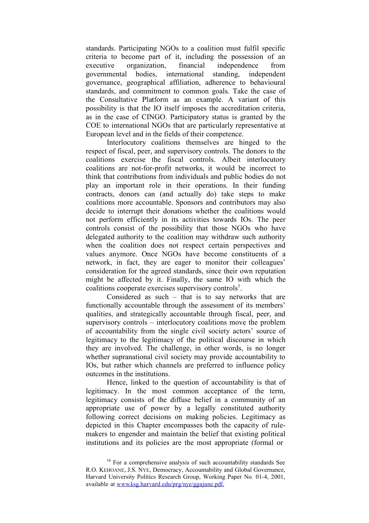standards. Participating NGOs to a coalition must fulfil specific criteria to become part of it, including the possession of an executive organization, financial independence from governmental bodies, international standing, independent governance, geographical affiliation, adherence to behavioural standards, and commitment to common goals. Take the case of the Consultative Platform as an example. A variant of this possibility is that the IO itself imposes the accreditation criteria, as in the case of CINGO. Participatory status is granted by the COE to international NGOs that are particularly representative at European level and in the fields of their competence.

Interlocutory coalitions themselves are hinged to the respect of fiscal, peer, and supervisory controls. The donors to the coalitions exercise the fiscal controls. Albeit interlocutory coalitions are not-for-profit networks, it would be incorrect to think that contributions from individuals and public bodies do not play an important role in their operations. In their funding contracts, donors can (and actually do) take steps to make coalitions more accountable. Sponsors and contributors may also decide to interrupt their donations whether the coalitions would not perform efficiently in its activities towards IOs. The peer controls consist of the possibility that those NGOs who have delegated authority to the coalition may withdraw such authority when the coalition does not respect certain perspectives and values anymore. Once NGOs have become constituents of a network, in fact, they are eager to monitor their colleagues' consideration for the agreed standards, since their own reputation might be affected by it. Finally, the same IO with which the coalitions cooperate exercises supervisory controls<sup>1</sup>.

Considered as such – that is to say networks that are functionally accountable through the assessment of its members' qualities, and strategically accountable through fiscal, peer, and supervisory controls – interlocutory coalitions move the problem of accountability from the single civil society actors' source of legitimacy to the legitimacy of the political discourse in which they are involved. The challenge, in other words, is no longer whether supranational civil society may provide accountability to IOs, but rather which channels are preferred to influence policy outcomes in the institutions.

Hence, linked to the question of accountability is that of legitimacy. In the most common acceptance of the term, legitimacy consists of the diffuse belief in a community of an appropriate use of power by a legally constituted authority following correct decisions on making policies. Legitimacy as depicted in this Chapter encompasses both the capacity of rulemakers to engender and maintain the belief that existing political institutions and its policies are the most appropriate (formal or

<sup>&</sup>lt;sup>16</sup> For a comprehensive analysis of such accountability standards See R.O. KEHOANE, J.S. NYE, Democracy, Accountability and Global Governance, Harvard University Politics Research Group, Working Paper No. 01-4, 2001, available at www.ksg.harvard.edu/prg/nye/ggajune.pdf.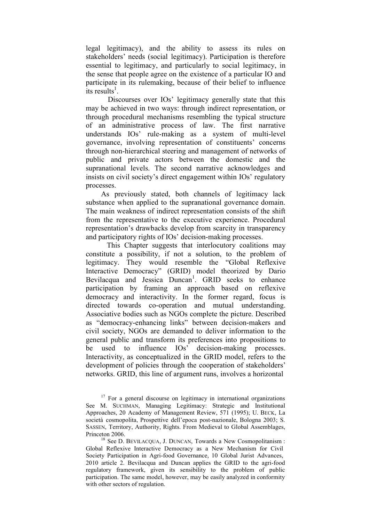legal legitimacy), and the ability to assess its rules on stakeholders' needs (social legitimacy). Participation is therefore essential to legitimacy, and particularly to social legitimacy, in the sense that people agree on the existence of a particular IO and participate in its rulemaking, because of their belief to influence  $\frac{1}{1}$ ts results<sup>1</sup>.

Discourses over IOs' legitimacy generally state that this may be achieved in two ways: through indirect representation, or through procedural mechanisms resembling the typical structure of an administrative process of law. The first narrative understands IOs' rule-making as a system of multi-level governance, involving representation of constituents' concerns through non-hierarchical steering and management of networks of public and private actors between the domestic and the supranational levels. The second narrative acknowledges and insists on civil society's direct engagement within IOs' regulatory processes.

As previously stated, both channels of legitimacy lack substance when applied to the supranational governance domain. The main weakness of indirect representation consists of the shift from the representative to the executive experience. Procedural representation's drawbacks develop from scarcity in transparency and participatory rights of IOs' decision-making processes.

This Chapter suggests that interlocutory coalitions may constitute a possibility, if not a solution, to the problem of legitimacy. They would resemble the "Global Reflexive Interactive Democracy" (GRID) model theorized by Dario Bevilacqua and Jessica Duncan<sup>1</sup>. GRID seeks to enhance participation by framing an approach based on reflexive democracy and interactivity. In the former regard, focus is directed towards co-operation and mutual understanding. Associative bodies such as NGOs complete the picture. Described as "democracy-enhancing links" between decision-makers and civil society, NGOs are demanded to deliver information to the general public and transform its preferences into propositions to be used to influence IOs' decision-making processes. Interactivity, as conceptualized in the GRID model, refers to the development of policies through the cooperation of stakeholders' networks. GRID, this line of argument runs, involves a horizontal

 $18$  See D. BEVILACQUA, J. DUNCAN, Towards a New Cosmopolitanism : Global Reflexive Interactive Democracy as a New Mechanism for Civil Society Participation in Agri-food Governance, 10 Global Jurist Advances, 2010 article 2. Bevilacqua and Duncan applies the GRID to the agri-food regulatory framework, given its sensibility to the problem of public participation. The same model, however, may be easily analyzed in conformity with other sectors of regulation.

 $17$  For a general discourse on legitimacy in international organizations See M. SUCHMAN, Managing Legitimacy: Strategic and Institutional Approaches, 20 Academy of Management Review, 571 (1995); U. BECK, La società cosmopolita, Prospettive dell'epoca post-nazionale, Bologna 2003; S. SASSEN, Territory, Authority, Rights. From Medieval to Global Assemblages, Princeton 2006.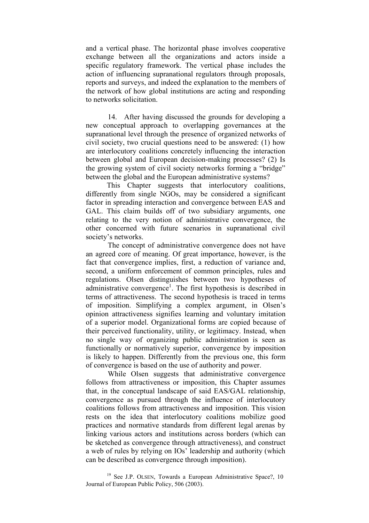and a vertical phase. The horizontal phase involves cooperative exchange between all the organizations and actors inside a specific regulatory framework. The vertical phase includes the action of influencing supranational regulators through proposals, reports and surveys, and indeed the explanation to the members of the network of how global institutions are acting and responding to networks solicitation.

14. After having discussed the grounds for developing a new conceptual approach to overlapping governances at the supranational level through the presence of organized networks of civil society, two crucial questions need to be answered: (1) how are interlocutory coalitions concretely influencing the interaction between global and European decision-making processes? (2) Is the growing system of civil society networks forming a "bridge" between the global and the European administrative systems?

This Chapter suggests that interlocutory coalitions, differently from single NGOs, may be considered a significant factor in spreading interaction and convergence between EAS and GAL. This claim builds off of two subsidiary arguments, one relating to the very notion of administrative convergence, the other concerned with future scenarios in supranational civil society's networks.

The concept of administrative convergence does not have an agreed core of meaning. Of great importance, however, is the fact that convergence implies, first, a reduction of variance and, second, a uniform enforcement of common principles, rules and regulations. Olsen distinguishes between two hypotheses of administrative convergence<sup>1</sup>. The first hypothesis is described in terms of attractiveness. The second hypothesis is traced in terms of imposition. Simplifying a complex argument, in Olsen's opinion attractiveness signifies learning and voluntary imitation of a superior model. Organizational forms are copied because of their perceived functionality, utility, or legitimacy. Instead, when no single way of organizing public administration is seen as functionally or normatively superior, convergence by imposition is likely to happen. Differently from the previous one, this form of convergence is based on the use of authority and power.

While Olsen suggests that administrative convergence follows from attractiveness or imposition, this Chapter assumes that, in the conceptual landscape of said EAS/GAL relationship, convergence as pursued through the influence of interlocutory coalitions follows from attractiveness and imposition. This vision rests on the idea that interlocutory coalitions mobilize good practices and normative standards from different legal arenas by linking various actors and institutions across borders (which can be sketched as convergence through attractiveness), and construct a web of rules by relying on IOs' leadership and authority (which can be described as convergence through imposition).

<sup>&</sup>lt;sup>19</sup> See J.P. OLSEN, Towards a European Administrative Space?, 10 Journal of European Public Policy, 506 (2003).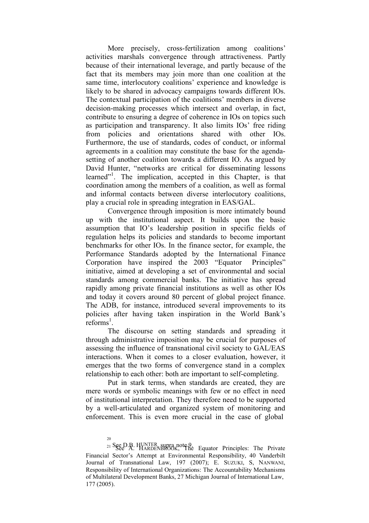More precisely, cross-fertilization among coalitions' activities marshals convergence through attractiveness. Partly because of their international leverage, and partly because of the fact that its members may join more than one coalition at the same time, interlocutory coalitions' experience and knowledge is likely to be shared in advocacy campaigns towards different IOs. The contextual participation of the coalitions' members in diverse decision-making processes which intersect and overlap, in fact, contribute to ensuring a degree of coherence in IOs on topics such as participation and transparency. It also limits IOs' free riding from policies and orientations shared with other IOs. Furthermore, the use of standards, codes of conduct, or informal agreements in a coalition may constitute the base for the agendasetting of another coalition towards a different IO. As argued by David Hunter, "networks are critical for disseminating lessons learned"<sup>1</sup>. The implication, accepted in this Chapter, is that coordination among the members of a coalition, as well as formal and informal contacts between diverse interlocutory coalitions, play a crucial role in spreading integration in EAS/GAL.

Convergence through imposition is more intimately bound up with the institutional aspect. It builds upon the basic assumption that IO's leadership position in specific fields of regulation helps its policies and standards to become important benchmarks for other IOs. In the finance sector, for example, the Performance Standards adopted by the International Finance Corporation have inspired the 2003 "Equator Principles" initiative, aimed at developing a set of environmental and social standards among commercial banks. The initiative has spread rapidly among private financial institutions as well as other IOs and today it covers around 80 percent of global project finance. The ADB, for instance, introduced several improvements to its policies after having taken inspiration in the World Bank's reforms<sup>1</sup>.

The discourse on setting standards and spreading it through administrative imposition may be crucial for purposes of assessing the influence of transnational civil society to GAL/EAS interactions. When it comes to a closer evaluation, however, it emerges that the two forms of convergence stand in a complex relationship to each other: both are important to self-completing.

Put in stark terms, when standards are created, they are mere words or symbolic meanings with few or no effect in need of institutional interpretation. They therefore need to be supported by a well-articulated and organized system of monitoring and enforcement. This is even more crucial in the case of global

 $20$ 

<sup>21</sup> See D.B. HUNTER, supra note 9. See A. HARDENBROOK, The Equator Principles: The Private Financial Sector's Attempt at Environmental Responsibility, 40 Vanderbilt Journal of Transnational Law, 197 (2007); E. SUZUKI, S, NANWANI, Responsibility of International Organizations: The Accountability Mechanisms of Multilateral Development Banks, 27 Michigan Journal of International Law, 177 (2005).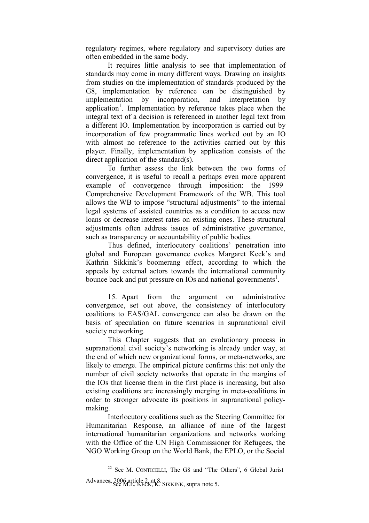regulatory regimes, where regulatory and supervisory duties are often embedded in the same body.

It requires little analysis to see that implementation of standards may come in many different ways. Drawing on insights from studies on the implementation of standards produced by the G8, implementation by reference can be distinguished by implementation by incorporation, and interpretation by application<sup>1</sup>. Implementation by reference takes place when the integral text of a decision is referenced in another legal text from a different IO. Implementation by incorporation is carried out by incorporation of few programmatic lines worked out by an IO with almost no reference to the activities carried out by this player. Finally, implementation by application consists of the direct application of the standard(s).

To further assess the link between the two forms of convergence, it is useful to recall a perhaps even more apparent example of convergence through imposition: the 1999 Comprehensive Development Framework of the WB. This tool allows the WB to impose "structural adjustments" to the internal legal systems of assisted countries as a condition to access new loans or decrease interest rates on existing ones. These structural adjustments often address issues of administrative governance, such as transparency or accountability of public bodies.

Thus defined, interlocutory coalitions' penetration into global and European governance evokes Margaret Keck's and Kathrin Sikkink's boomerang effect, according to which the appeals by external actors towards the international community bounce back and put pressure on IOs and national governments<sup>1</sup>.

15. Apart from the argument on administrative convergence, set out above, the consistency of interlocutory coalitions to EAS/GAL convergence can also be drawn on the basis of speculation on future scenarios in supranational civil society networking.

This Chapter suggests that an evolutionary process in supranational civil society's networking is already under way, at the end of which new organizational forms, or meta-networks, are likely to emerge. The empirical picture confirms this: not only the number of civil society networks that operate in the margins of the IOs that license them in the first place is increasing, but also existing coalitions are increasingly merging in meta-coalitions in order to stronger advocate its positions in supranational policymaking.

Interlocutory coalitions such as the Steering Committee for Humanitarian Response, an alliance of nine of the largest international humanitarian organizations and networks working with the Office of the UN High Commissioner for Refugees, the NGO Working Group on the World Bank, the EPLO, or the Social

 $22$  See M. CONTICELLI, The G8 and "The Others", 6 Global Jurist Advances, 2006 article 2 at 8.<br>SIKKINK, supra note 5.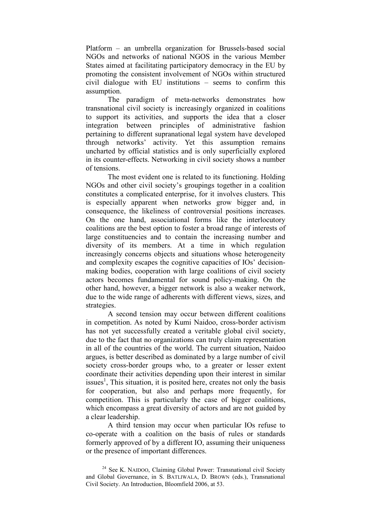Platform – an umbrella organization for Brussels-based social NGOs and networks of national NGOS in the various Member States aimed at facilitating participatory democracy in the EU by promoting the consistent involvement of NGOs within structured civil dialogue with EU institutions – seems to confirm this assumption.

The paradigm of meta-networks demonstrates how transnational civil society is increasingly organized in coalitions to support its activities, and supports the idea that a closer integration between principles of administrative fashion pertaining to different supranational legal system have developed through networks' activity. Yet this assumption remains uncharted by official statistics and is only superficially explored in its counter-effects. Networking in civil society shows a number of tensions.

The most evident one is related to its functioning. Holding NGOs and other civil society's groupings together in a coalition constitutes a complicated enterprise, for it involves clusters. This is especially apparent when networks grow bigger and, in consequence, the likeliness of controversial positions increases. On the one hand, associational forms like the interlocutory coalitions are the best option to foster a broad range of interests of large constituencies and to contain the increasing number and diversity of its members. At a time in which regulation increasingly concerns objects and situations whose heterogeneity and complexity escapes the cognitive capacities of IOs' decisionmaking bodies, cooperation with large coalitions of civil society actors becomes fundamental for sound policy-making. On the other hand, however, a bigger network is also a weaker network, due to the wide range of adherents with different views, sizes, and strategies.

A second tension may occur between different coalitions in competition. As noted by Kumi Naidoo, cross-border activism has not yet successfully created a veritable global civil society, due to the fact that no organizations can truly claim representation in all of the countries of the world. The current situation, Naidoo argues, is better described as dominated by a large number of civil society cross-border groups who, to a greater or lesser extent coordinate their activities depending upon their interest in similar issues<sup>1</sup>, This situation, it is posited here, creates not only the basis for cooperation, but also and perhaps more frequently, for competition. This is particularly the case of bigger coalitions, which encompass a great diversity of actors and are not guided by a clear leadership.

A third tension may occur when particular IOs refuse to co-operate with a coalition on the basis of rules or standards formerly approved of by a different IO, assuming their uniqueness or the presence of important differences.

<sup>&</sup>lt;sup>24</sup> See K. NAIDOO, Claiming Global Power: Transnational civil Society and Global Governance, in S. BATLIWALA, D. BROWN (eds.), Transnational Civil Society. An Introduction, Bloomfield 2006, at 53.